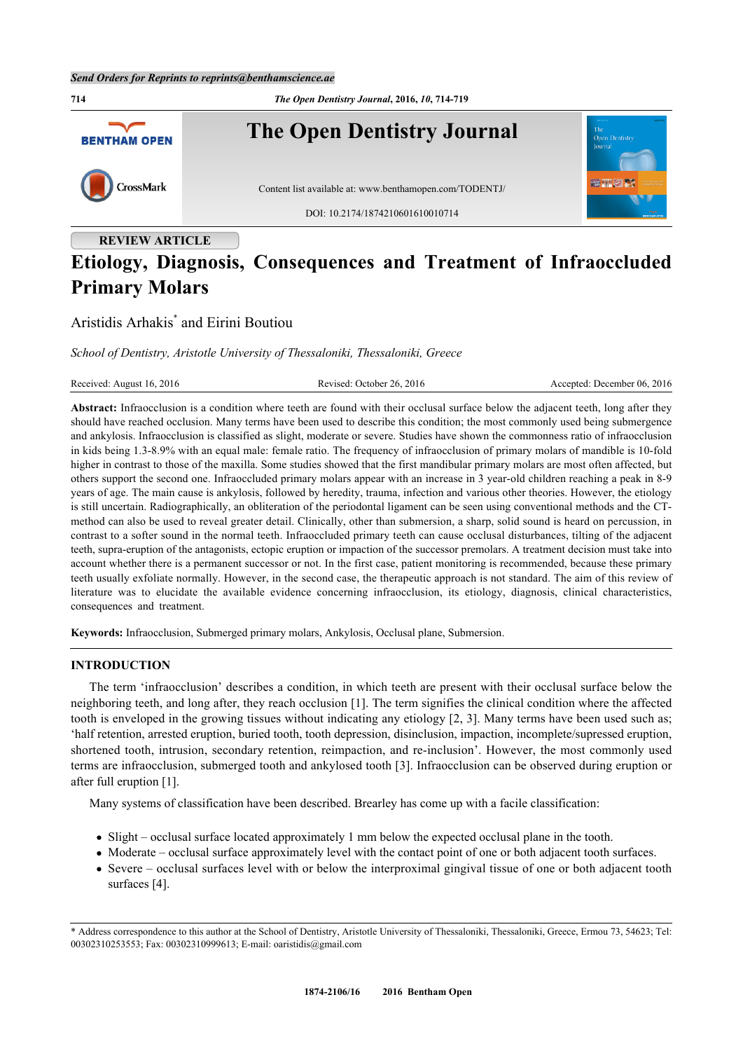

# **Etiology, Diagnosis, Consequences and Treatment of Infraoccluded Primary Molars**

## Aristidis Arhakis[\\*](#page-0-0) and Eirini Boutiou

*School of Dentistry, Aristotle University of Thessaloniki, Thessaloniki, Greece*

Received: August 16, 2016 Revised: October 26, 2016 Revised: October 26, 2016 Accepted: December 06, 2016

**Abstract:** Infraocclusion is a condition where teeth are found with their occlusal surface below the adjacent teeth, long after they should have reached occlusion. Many terms have been used to describe this condition; the most commonly used being submergence and ankylosis. Infraocclusion is classified as slight, moderate or severe. Studies have shown the commonness ratio of infraocclusion in kids being 1.3-8.9% with an equal male: female ratio. The frequency of infraocclusion of primary molars of mandible is 10-fold higher in contrast to those of the maxilla. Some studies showed that the first mandibular primary molars are most often affected, but others support the second one. Infraoccluded primary molars appear with an increase in 3 year-old children reaching a peak in 8-9 years of age. The main cause is ankylosis, followed by heredity, trauma, infection and various other theories. However, the etiology is still uncertain. Radiographically, an obliteration of the periodontal ligament can be seen using conventional methods and the CTmethod can also be used to reveal greater detail. Clinically, other than submersion, a sharp, solid sound is heard on percussion, in contrast to a softer sound in the normal teeth. Infraoccluded primary teeth can cause occlusal disturbances, tilting of the adjacent teeth, supra-eruption of the antagonists, ectopic eruption or impaction of the successor premolars. A treatment decision must take into account whether there is a permanent successor or not. In the first case, patient monitoring is recommended, because these primary teeth usually exfoliate normally. However, in the second case, the therapeutic approach is not standard. The aim of this review of literature was to elucidate the available evidence concerning infraocclusion, its etiology, diagnosis, clinical characteristics, consequences and treatment.

**Keywords:** Infraocclusion, Submerged primary molars, Ankylosis, Occlusal plane, Submersion.

#### **INTRODUCTION**

The term 'infraocclusion' describes a condition, in which teeth are present with their occlusal surface below the neighboring teeth, and long after, they reach occlusion [[1\]](#page-4-0). The term signifies the clinical condition where the affected tooth is enveloped in the growing tissues without indicating any etiology [\[2,](#page-4-1) [3](#page-4-2)]. Many terms have been used such as; 'half retention, arrested eruption, buried tooth, tooth depression, disinclusion, impaction, incomplete/supressed eruption, shortened tooth, intrusion, secondary retention, reimpaction, and re-inclusion'. However, the most commonly used terms are infraocclusion, submerged tooth and ankylosed tooth [\[3](#page-4-2)]. Infraocclusion can be observed during eruption or after full eruption [\[1](#page-4-0)].

Many systems of classification have been described. Brearley has come up with a facile classification:

- Slight occlusal surface located approximately 1 mm below the expected occlusal plane in the tooth.
- Moderate occlusal surface approximately level with the contact point of one or both adjacent tooth surfaces.
- Severe occlusal surfaces level with or below the interproximal gingival tissue of one or both adjacent tooth surfaces [\[4](#page-4-3)].

<span id="page-0-0"></span><sup>\*</sup> Address correspondence to this author at the School of Dentistry, Aristotle University of Thessaloniki, Thessaloniki, Greece, Ermou 73, 54623; Tel: 00302310253553; Fax: 00302310999613; E-mail: [oaristidis@gmail.com](mailto:oaristidis@gmail.com)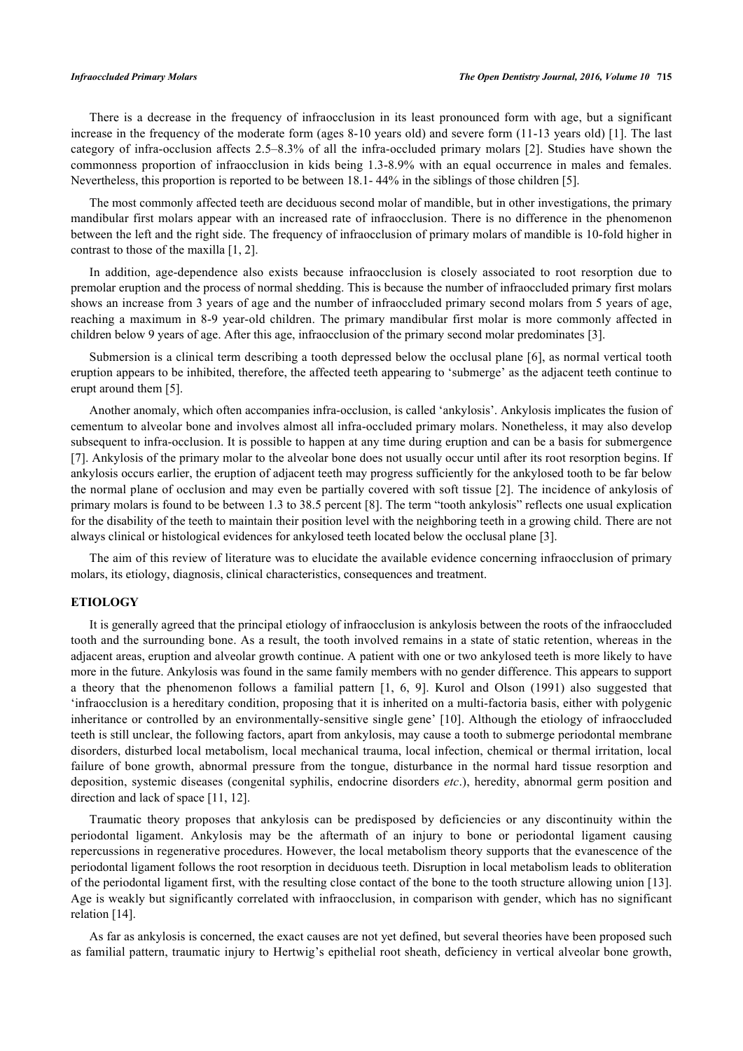There is a decrease in the frequency of infraocclusion in its least pronounced form with age, but a significant increase in the frequency of the moderate form (ages 8-10 years old) and severe form (11-13 years old) [[1\]](#page-4-0). The last category of infra-occlusion affects 2.5–8.3% of all the infra-occluded primary molars [\[2](#page-4-1)]. Studies have shown the commonness proportion of infraocclusion in kids being 1.3-8.9% with an equal occurrence in males and females. Nevertheless, this proportion is reported to be between 18.1- 44% in the siblings of those children [[5\]](#page-4-4).

The most commonly affected teeth are deciduous second molar of mandible, but in other investigations, the primary mandibular first molars appear with an increased rate of infraocclusion. There is no difference in the phenomenon between the left and the right side. The frequency of infraocclusion of primary molars of mandible is 10-fold higher in contrast to those of the maxilla [\[1](#page-4-0), [2](#page-4-1)].

In addition, age-dependence also exists because infraocclusion is closely associated to root resorption due to premolar eruption and the process of normal shedding. This is because the number of infraoccluded primary first molars shows an increase from 3 years of age and the number of infraoccluded primary second molars from 5 years of age, reaching a maximum in 8-9 year-old children. The primary mandibular first molar is more commonly affected in children below 9 years of age. After this age, infraocclusion of the primary second molar predominates [\[3](#page-4-2)].

Submersion is a clinical term describing a tooth depressed below the occlusal plane [[6](#page-4-5)], as normal vertical tooth eruption appears to be inhibited, therefore, the affected teeth appearing to 'submerge' as the adjacent teeth continue to erupt around them [[5\]](#page-4-4).

Another anomaly, which often accompanies infra-occlusion, is called 'ankylosis'. Ankylosis implicates the fusion of cementum to alveolar bone and involves almost all infra-occluded primary molars. Nonetheless, it may also develop subsequent to infra-occlusion. It is possible to happen at any time during eruption and can be a basis for submergence [\[7](#page-4-6)]. Ankylosis of the primary molar to the alveolar bone does not usually occur until after its root resorption begins. If ankylosis occurs earlier, the eruption of adjacent teeth may progress sufficiently for the ankylosed tooth to be far below the normal plane of occlusion and may even be partially covered with soft tissue [[2\]](#page-4-1). The incidence of ankylosis of primary molars is found to be between 1.3 to 38.5 percent [[8\]](#page-4-7). The term "tooth ankylosis" reflects one usual explication for the disability of the teeth to maintain their position level with the neighboring teeth in a growing child. There are not always clinical or histological evidences for ankylosed teeth located below the occlusal plane [[3\]](#page-4-2).

The aim of this review of literature was to elucidate the available evidence concerning infraocclusion of primary molars, its etiology, diagnosis, clinical characteristics, consequences and treatment.

#### **ETIOLOGY**

It is generally agreed that the principal etiology of infraocclusion is ankylosis between the roots of the infraoccluded tooth and the surrounding bone. As a result, the tooth involved remains in a state of static retention, whereas in the adjacent areas, eruption and alveolar growth continue. A patient with one or two ankylosed teeth is more likely to have more in the future. Ankylosis was found in the same family members with no gender difference. This appears to support a theory that the phenomenon follows a familial pattern [\[1](#page-4-0), [6,](#page-4-5) [9](#page-4-8)]. Kurol and Olson (1991) also suggested that 'infraocclusion is a hereditary condition, proposing that it is inherited on a multi-factoria basis, either with polygenic inheritance or controlled by an environmentally-sensitive single gene' [\[10](#page-4-9)]. Although the etiology of infraoccluded teeth is still unclear, the following factors, apart from ankylosis, may cause a tooth to submerge periodontal membrane disorders, disturbed local metabolism, local mechanical trauma, local infection, chemical or thermal irritation, local failure of bone growth, abnormal pressure from the tongue, disturbance in the normal hard tissue resorption and deposition, systemic diseases (congenital syphilis, endocrine disorders *etc*.), heredity, abnormal germ position and direction and lack of space [[11,](#page-4-10) [12\]](#page-4-11).

Traumatic theory proposes that ankylosis can be predisposed by deficiencies or any discontinuity within the periodontal ligament. Ankylosis may be the aftermath of an injury to bone or periodontal ligament causing repercussions in regenerative procedures. However, the local metabolism theory supports that the evanescence of the periodontal ligament follows the root resorption in deciduous teeth. Disruption in local metabolism leads to obliteration of the periodontal ligament first, with the resulting close contact of the bone to the tooth structure allowing union [[13\]](#page-4-12). Age is weakly but significantly correlated with infraocclusion, in comparison with gender, which has no significant relation [\[14](#page-4-13)].

As far as ankylosis is concerned, the exact causes are not yet defined, but several theories have been proposed such as familial pattern, traumatic injury to Hertwig's epithelial root sheath, deficiency in vertical alveolar bone growth,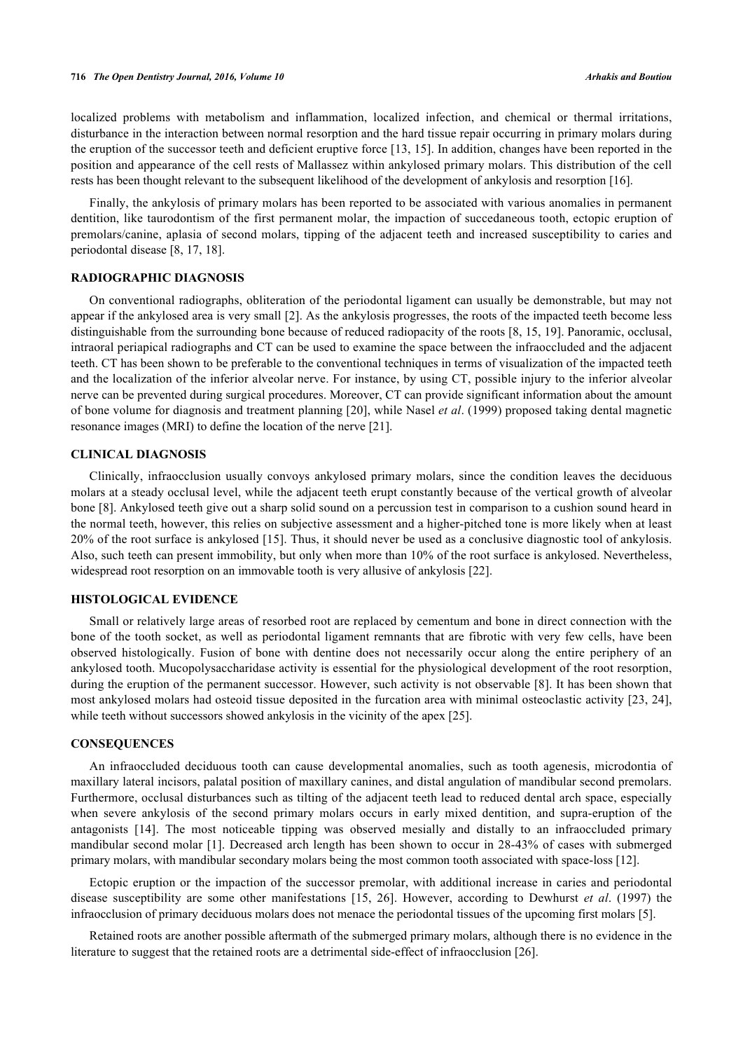localized problems with metabolism and inflammation, localized infection, and chemical or thermal irritations, disturbance in the interaction between normal resorption and the hard tissue repair occurring in primary molars during the eruption of the successor teeth and deficient eruptive force [[13,](#page-4-12) [15](#page-4-14)]. In addition, changes have been reported in the position and appearance of the cell rests of Mallassez within ankylosed primary molars. This distribution of the cell rests has been thought relevant to the subsequent likelihood of the development of ankylosis and resorption [[16\]](#page-4-15).

Finally, the ankylosis of primary molars has been reported to be associated with various anomalies in permanent dentition, like taurodontism of the first permanent molar, the impaction of succedaneous tooth, ectopic eruption of premolars/canine, aplasia of second molars, tipping of the adjacent teeth and increased susceptibility to caries and periodontal disease [\[8](#page-4-7), [17](#page-4-16), [18](#page-4-17)].

#### **RADIOGRAPHIC DIAGNOSIS**

On conventional radiographs, obliteration of the periodontal ligament can usually be demonstrable, but may not appear if the ankylosed area is very small [[2\]](#page-4-1). As the ankylosis progresses, the roots of the impacted teeth become less distinguishable from the surrounding bone because of reduced radiopacity of the roots [[8,](#page-4-7) [15](#page-4-14), [19](#page-4-18)]. Panoramic, occlusal, intraoral periapical radiographs and CT can be used to examine the space between the infraoccluded and the adjacent teeth. CT has been shown to be preferable to the conventional techniques in terms of visualization of the impacted teeth and the localization of the inferior alveolar nerve. For instance, by using CT, possible injury to the inferior alveolar nerve can be prevented during surgical procedures. Moreover, CT can provide significant information about the amount of bone volume for diagnosis and treatment planning [[20](#page-4-19)], while Nasel *et al*. (1999) proposed taking dental magnetic resonance images (MRI) to define the location of the nerve [[21\]](#page-5-0).

#### **CLINICAL DIAGNOSIS**

Clinically, infraocclusion usually convoys ankylosed primary molars, since the condition leaves the deciduous molars at a steady occlusal level, while the adjacent teeth erupt constantly because of the vertical growth of alveolar bone [[8\]](#page-4-7). Ankylosed teeth give out a sharp solid sound on a percussion test in comparison to a cushion sound heard in the normal teeth, however, this relies on subjective assessment and a higher-pitched tone is more likely when at least 20% of the root surface is ankylosed [[15](#page-4-14)]. Thus, it should never be used as a conclusive diagnostic tool of ankylosis. Also, such teeth can present immobility, but only when more than 10% of the root surface is ankylosed. Nevertheless, widespread root resorption on an immovable tooth is very allusive of ankylosis [[22\]](#page-5-1).

#### **HISTOLOGICAL EVIDENCE**

Small or relatively large areas of resorbed root are replaced by cementum and bone in direct connection with the bone of the tooth socket, as well as periodontal ligament remnants that are fibrotic with very few cells, have been observed histologically. Fusion of bone with dentine does not necessarily occur along the entire periphery of an ankylosed tooth. Mucopolysaccharidase activity is essential for the physiological development of the root resorption, during the eruption of the permanent successor. However, such activity is not observable [[8\]](#page-4-7). It has been shown that most ankylosed molars had osteoid tissue deposited in the furcation area with minimal osteoclastic activity [[23,](#page-5-2) [24\]](#page-5-3), while teeth without successors showed ankylosis in the vicinity of the apex [[25\]](#page-5-4).

#### **CONSEQUENCES**

An infraoccluded deciduous tooth can cause developmental anomalies, such as tooth agenesis, microdontia of maxillary lateral incisors, palatal position of maxillary canines, and distal angulation of mandibular second premolars. Furthermore, occlusal disturbances such as tilting of the adjacent teeth lead to reduced dental arch space, especially when severe ankylosis of the second primary molars occurs in early mixed dentition, and supra-eruption of the antagonists [\[14](#page-4-13)]. The most noticeable tipping was observed mesially and distally to an infraoccluded primary mandibular second molar [\[1](#page-4-0)]. Decreased arch length has been shown to occur in 28-43% of cases with submerged primary molars, with mandibular secondary molars being the most common tooth associated with space-loss [[12\]](#page-4-11).

Ectopic eruption or the impaction of the successor premolar, with additional increase in caries and periodontal disease susceptibility are some other manifestations [\[15](#page-4-14), [26](#page-5-5)]. However, according to Dewhurst *et al*. (1997) the infraocclusion of primary deciduous molars does not menace the periodontal tissues of the upcoming first molars [[5\]](#page-4-4).

Retained roots are another possible aftermath of the submerged primary molars, although there is no evidence in the literature to suggest that the retained roots are a detrimental side-effect of infraocclusion [[26\]](#page-5-5).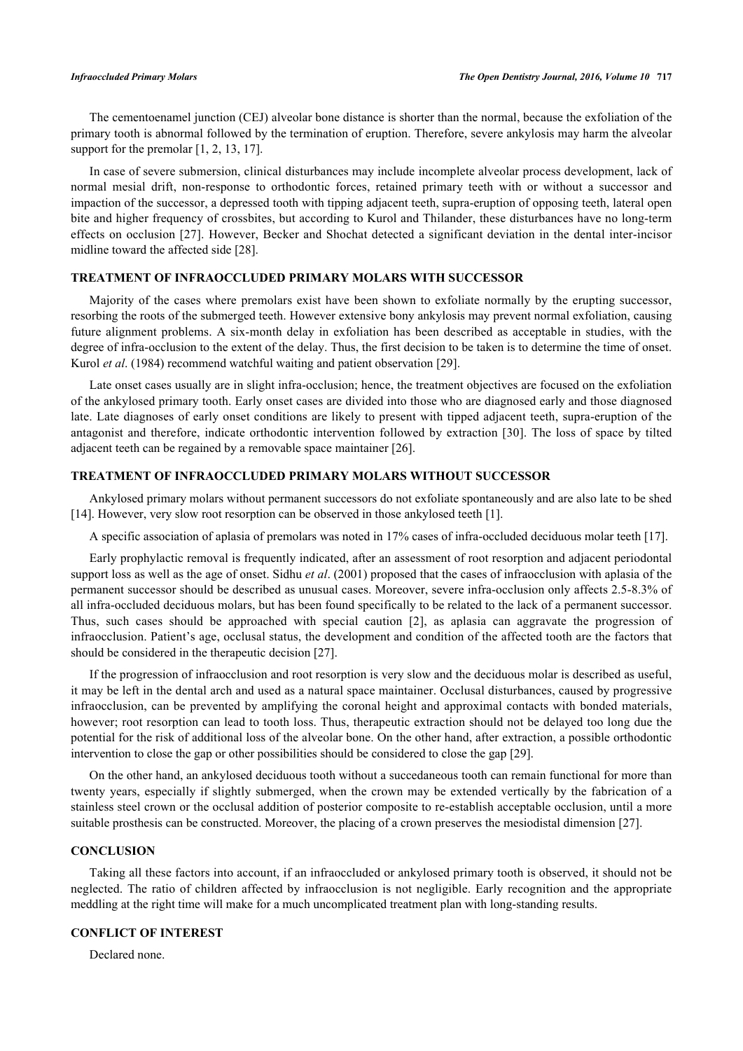The cementoenamel junction (CEJ) alveolar bone distance is shorter than the normal, because the exfoliation of the primary tooth is abnormal followed by the termination of eruption. Therefore, severe ankylosis may harm the alveolar support for the premolar  $[1, 2, 13, 17]$  $[1, 2, 13, 17]$  $[1, 2, 13, 17]$  $[1, 2, 13, 17]$  $[1, 2, 13, 17]$  $[1, 2, 13, 17]$  $[1, 2, 13, 17]$  $[1, 2, 13, 17]$ .

In case of severe submersion, clinical disturbances may include incomplete alveolar process development, lack of normal mesial drift, non-response to orthodontic forces, retained primary teeth with or without a successor and impaction of the successor, a depressed tooth with tipping adjacent teeth, supra-eruption of opposing teeth, lateral open bite and higher frequency of crossbites, but according to Kurol and Thilander, these disturbances have no long-term effects on occlusion [[27\]](#page-5-6). However, Becker and Shochat detected a significant deviation in the dental inter-incisor midline toward the affected side [\[28](#page-5-7)].

#### **TREATMENT OF INFRAOCCLUDED PRIMARY MOLARS WITH SUCCESSOR**

Majority of the cases where premolars exist have been shown to exfoliate normally by the erupting successor, resorbing the roots of the submerged teeth. However extensive bony ankylosis may prevent normal exfoliation, causing future alignment problems. A six-month delay in exfoliation has been described as acceptable in studies, with the degree of infra-occlusion to the extent of the delay. Thus, the first decision to be taken is to determine the time of onset. Kurol *et al*. (1984) recommend watchful waiting and patient observation [\[29](#page-5-8)].

Late onset cases usually are in slight infra-occlusion; hence, the treatment objectives are focused on the exfoliation of the ankylosed primary tooth. Early onset cases are divided into those who are diagnosed early and those diagnosed late. Late diagnoses of early onset conditions are likely to present with tipped adjacent teeth, supra-eruption of the antagonist and therefore, indicate orthodontic intervention followed by extraction [[30](#page-5-9)]. The loss of space by tilted adjacent teeth can be regained by a removable space maintainer [\[26](#page-5-5)].

#### **TREATMENT OF INFRAOCCLUDED PRIMARY MOLARS WITHOUT SUCCESSOR**

Ankylosed primary molars without permanent successors do not exfoliate spontaneously and are also late to be shed [\[14](#page-4-13)]. However, very slow root resorption can be observed in those ankylosed teeth [\[1](#page-4-0)].

A specific association of aplasia of premolars was noted in 17% cases of infra-occluded deciduous molar teeth [[17\]](#page-4-16).

Early prophylactic removal is frequently indicated, after an assessment of root resorption and adjacent periodontal support loss as well as the age of onset. Sidhu *et al*. (2001) proposed that the cases of infraocclusion with aplasia of the permanent successor should be described as unusual cases. Moreover, severe infra-occlusion only affects 2.5-8.3% of all infra-occluded deciduous molars, but has been found specifically to be related to the lack of a permanent successor. Thus, such cases should be approached with special caution [\[2](#page-4-1)], as aplasia can aggravate the progression of infraocclusion. Patient's age, occlusal status, the development and condition of the affected tooth are the factors that should be considered in the therapeutic decision [[27\]](#page-5-6).

If the progression of infraocclusion and root resorption is very slow and the deciduous molar is described as useful, it may be left in the dental arch and used as a natural space maintainer. Occlusal disturbances, caused by progressive infraocclusion, can be prevented by amplifying the coronal height and approximal contacts with bonded materials, however; root resorption can lead to tooth loss. Thus, therapeutic extraction should not be delayed too long due the potential for the risk of additional loss of the alveolar bone. On the other hand, after extraction, a possible orthodontic intervention to close the gap or other possibilities should be considered to close the gap [[29\]](#page-5-8).

On the other hand, an ankylosed deciduous tooth without a succedaneous tooth can remain functional for more than twenty years, especially if slightly submerged, when the crown may be extended vertically by the fabrication of a stainless steel crown or the occlusal addition of posterior composite to re-establish acceptable occlusion, until a more suitable prosthesis can be constructed. Moreover, the placing of a crown preserves the mesiodistal dimension [\[27](#page-5-6)].

#### **CONCLUSION**

Taking all these factors into account, if an infraoccluded or ankylosed primary tooth is observed, it should not be neglected. The ratio of children affected by infraocclusion is not negligible. Early recognition and the appropriate meddling at the right time will make for a much uncomplicated treatment plan with long-standing results.

### **CONFLICT OF INTEREST**

Declared none.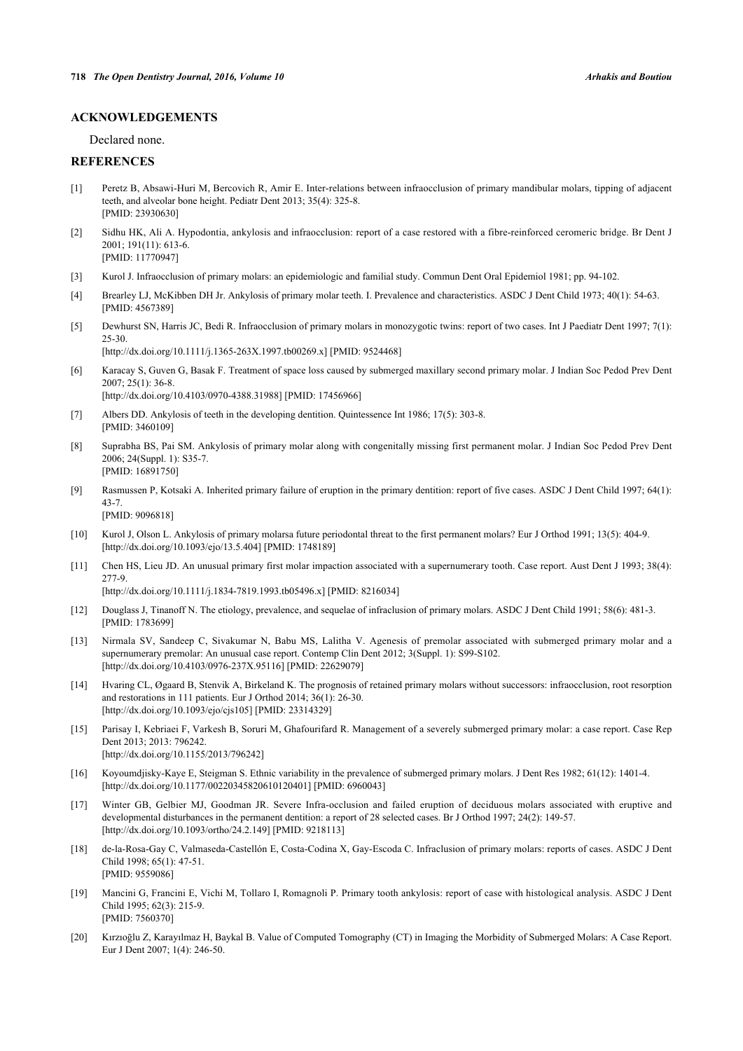#### **ACKNOWLEDGEMENTS**

Declared none.

#### **REFERENCES**

- <span id="page-4-0"></span>[1] Peretz B, Absawi-Huri M, Bercovich R, Amir E. Inter-relations between infraocclusion of primary mandibular molars, tipping of adjacent teeth, and alveolar bone height. Pediatr Dent 2013; 35(4): 325-8. [PMID: [23930630\]](http://www.ncbi.nlm.nih.gov/pubmed/23930630)
- <span id="page-4-1"></span>[2] Sidhu HK, Ali A. Hypodontia, ankylosis and infraocclusion: report of a case restored with a fibre-reinforced ceromeric bridge. Br Dent J 2001; 191(11): 613-6. [PMID: [11770947\]](http://www.ncbi.nlm.nih.gov/pubmed/11770947)
- <span id="page-4-2"></span>[3] Kurol J. Infraocclusion of primary molars: an epidemiologic and familial study. Commun Dent Oral Epidemiol 1981; pp. 94-102.
- <span id="page-4-3"></span>[4] Brearley LJ, McKibben DH Jr. Ankylosis of primary molar teeth. I. Prevalence and characteristics. ASDC J Dent Child 1973; 40(1): 54-63. [PMID: [4567389\]](http://www.ncbi.nlm.nih.gov/pubmed/4567389)
- <span id="page-4-4"></span>[5] Dewhurst SN, Harris JC, Bedi R. Infraocclusion of primary molars in monozygotic twins: report of two cases. Int J Paediatr Dent 1997; 7(1): 25-30.

[\[http://dx.doi.org/10.1111/j.1365-263X.1997.tb00269.x\]](http://dx.doi.org/10.1111/j.1365-263X.1997.tb00269.x) [PMID: [9524468](http://www.ncbi.nlm.nih.gov/pubmed/9524468)]

- <span id="page-4-5"></span>[6] Karacay S, Guven G, Basak F. Treatment of space loss caused by submerged maxillary second primary molar. J Indian Soc Pedod Prev Dent 2007; 25(1): 36-8. [\[http://dx.doi.org/10.4103/0970-4388.31988](http://dx.doi.org/10.4103/0970-4388.31988)] [PMID: [17456966](http://www.ncbi.nlm.nih.gov/pubmed/17456966)]
- <span id="page-4-6"></span>[7] Albers DD. Ankylosis of teeth in the developing dentition. Quintessence Int 1986; 17(5): 303-8. [PMID: [3460109\]](http://www.ncbi.nlm.nih.gov/pubmed/3460109)
- <span id="page-4-7"></span>[8] Suprabha BS, Pai SM. Ankylosis of primary molar along with congenitally missing first permanent molar. J Indian Soc Pedod Prev Dent 2006; 24(Suppl. 1): S35-7. [PMID: [16891750\]](http://www.ncbi.nlm.nih.gov/pubmed/16891750)
- <span id="page-4-8"></span>[9] Rasmussen P, Kotsaki A. Inherited primary failure of eruption in the primary dentition: report of five cases. ASDC J Dent Child 1997; 64(1): 43-7. [PMID: [9096818\]](http://www.ncbi.nlm.nih.gov/pubmed/9096818)
- <span id="page-4-9"></span>[10] Kurol J, Olson L. Ankylosis of primary molarsa future periodontal threat to the first permanent molars? Eur J Orthod 1991; 13(5): 404-9. [\[http://dx.doi.org/10.1093/ejo/13.5.404\]](http://dx.doi.org/10.1093/ejo/13.5.404) [PMID: [1748189](http://www.ncbi.nlm.nih.gov/pubmed/1748189)]
- <span id="page-4-10"></span>[11] Chen HS, Lieu JD. An unusual primary first molar impaction associated with a supernumerary tooth. Case report. Aust Dent J 1993; 38(4): 277-9.

[\[http://dx.doi.org/10.1111/j.1834-7819.1993.tb05496.x\]](http://dx.doi.org/10.1111/j.1834-7819.1993.tb05496.x) [PMID: [8216034](http://www.ncbi.nlm.nih.gov/pubmed/8216034)]

- <span id="page-4-11"></span>[12] Douglass J, Tinanoff N. The etiology, prevalence, and sequelae of infraclusion of primary molars. ASDC J Dent Child 1991; 58(6): 481-3. [PMID: [1783699\]](http://www.ncbi.nlm.nih.gov/pubmed/1783699)
- <span id="page-4-12"></span>[13] Nirmala SV, Sandeep C, Sivakumar N, Babu MS, Lalitha V. Agenesis of premolar associated with submerged primary molar and a supernumerary premolar: An unusual case report. Contemp Clin Dent 2012; 3(Suppl. 1): S99-S102. [\[http://dx.doi.org/10.4103/0976-237X.95116](http://dx.doi.org/10.4103/0976-237X.95116)] [PMID: [22629079\]](http://www.ncbi.nlm.nih.gov/pubmed/22629079)
- <span id="page-4-13"></span>[14] Hvaring CL, Øgaard B, Stenvik A, Birkeland K. The prognosis of retained primary molars without successors: infraocclusion, root resorption and restorations in 111 patients. Eur J Orthod 2014; 36(1): 26-30. [\[http://dx.doi.org/10.1093/ejo/cjs105\]](http://dx.doi.org/10.1093/ejo/cjs105) [PMID: [23314329](http://www.ncbi.nlm.nih.gov/pubmed/23314329)]
- <span id="page-4-14"></span>[15] Parisay I, Kebriaei F, Varkesh B, Soruri M, Ghafourifard R. Management of a severely submerged primary molar: a case report. Case Rep Dent 2013; 2013: 796242. [\[http://dx.doi.org/10.1155/2013/796242](http://dx.doi.org/10.1155/2013/796242)]
- <span id="page-4-15"></span>[16] Koyoumdjisky-Kaye E, Steigman S. Ethnic variability in the prevalence of submerged primary molars. J Dent Res 1982; 61(12): 1401-4. [\[http://dx.doi.org/10.1177/00220345820610120401\]](http://dx.doi.org/10.1177/00220345820610120401) [PMID: [6960043](http://www.ncbi.nlm.nih.gov/pubmed/6960043)]
- <span id="page-4-16"></span>[17] Winter GB, Gelbier MJ, Goodman JR. Severe Infra-occlusion and failed eruption of deciduous molars associated with eruptive and developmental disturbances in the permanent dentition: a report of 28 selected cases. Br J Orthod 1997; 24(2): 149-57. [\[http://dx.doi.org/10.1093/ortho/24.2.149\]](http://dx.doi.org/10.1093/ortho/24.2.149) [PMID: [9218113](http://www.ncbi.nlm.nih.gov/pubmed/9218113)]
- <span id="page-4-17"></span>[18] de-la-Rosa-Gay C, Valmaseda-Castellón E, Costa-Codina X, Gay-Escoda C. Infraclusion of primary molars: reports of cases. ASDC J Dent Child 1998; 65(1): 47-51. [PMID: [9559086\]](http://www.ncbi.nlm.nih.gov/pubmed/9559086)
- <span id="page-4-18"></span>[19] Mancini G, Francini E, Vichi M, Tollaro I, Romagnoli P. Primary tooth ankylosis: report of case with histological analysis. ASDC J Dent Child 1995; 62(3): 215-9. [PMID: [7560370\]](http://www.ncbi.nlm.nih.gov/pubmed/7560370)
- <span id="page-4-19"></span>[20] Kırzıoḡlu Z, Karayılmaz H, Baykal B. Value of Computed Tomography (CT) in Imaging the Morbidity of Submerged Molars: A Case Report. Eur J Dent 2007; 1(4): 246-50.